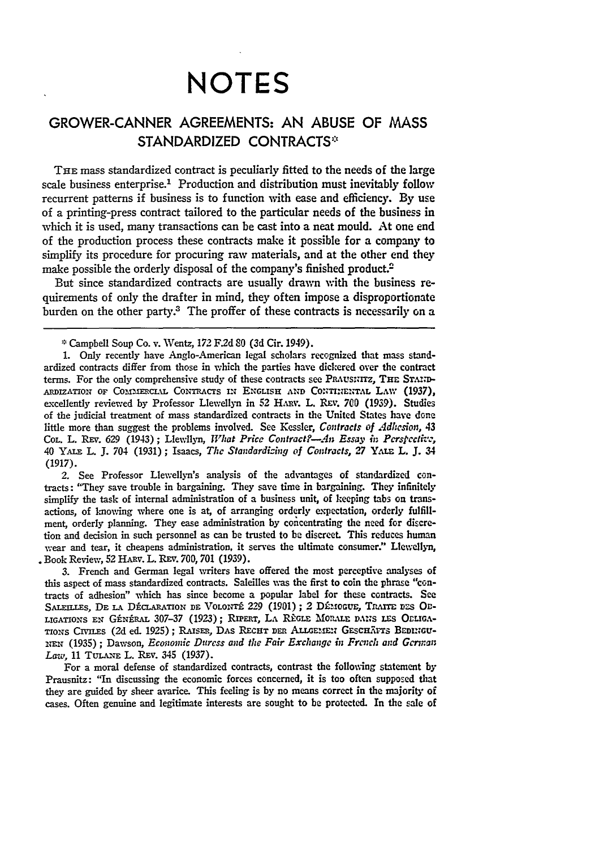## **NOTES**

## GROWER-CANNER **AGREEMENTS: AN ABUSE** OF **MASS STANDARDIZED CONTRACTS"**

THE mass standardized contract is peculiarly fitted to the needs of the large scale business enterprise.<sup>1</sup> Production and distribution must inevitably follow recurrent patterns if business is to function with ease and efficiency. **By** use of a printing-press contract tailored to the particular needs of the business in which it is used, many transactions can be cast into a neat mould. At one end of the production process these contracts make it possible for a company to simplify its procedure for procuring raw materials, and at the other end they make possible the orderly disposal of the company's finished product.<sup>2</sup>

But since standardized contracts are usually drawn with the business requirements of only the drafter in mind, they often impose a disproportionate burden on the other party.<sup>3</sup> The proffer of these contracts is necessarily on a

2. See Professor Llewellyn's analysis of the advantages of standardized contracts: "They save trouble in bargaining. They save time in bargaining. **They** infinitely simplify the task of internal administration of a business unit, of keeping tabs on transactions, of knowing where one is at, of arranging orderly expectation, orderly fulfillment, orderly planning. They ease administration **by** concentrating the need for discretion and decision in such personnel as can be trusted to be discreet. This reduces human wear and tear, it cheapens administration, it serves the ultimate consumer." Llewellyn, Book Review, **52** HARV. L. **REv. 700, 701 (1939).**

**3.** French and German legal writers have offered the most perceptive analyses of this aspect of mass standardized contracts. Saleilles **was** the first to coin the phrase "contracts of adhesion" which has since become a popular label for these contracts. See SALEILLES, DE LA DÉCLARATION DE VOLONTÉ 229 (1901) ; 2 DÉMOGUE, TRATTE DES OB-LIGATIONS EN GÉNÉRAL 307-37 (1923); RIPERT, LA RÈGLE MORALE DANS LES OCLIGA-TIONS CIVILES (2d ed. 1925); RAISER, DAS RECHT DER ALLGEMEN GESCHÄFTS BEDINGU-Nzz **(1935)** ; Dawson, *Economic Duress and the Fair Exchange in Frcnch and Gcrmnan* Law, 11 TULANE L. REV. 345 (1937).

For a moral defense of standardized contracts, contrast the following statement **by** Prausnitz: "In discussing the economic forces concerned, **it is too** often supposed that they are guided by sheer avarice. This feeling is by no means correct in the majority of cases. Often genuine and legitimate interests are sought to be protected. In the **sale of**

**<sup>\*</sup>** Campbell Soup Co. v. Wentz, **172 F2d SO** (3d Cir. 1949).

**<sup>1.</sup>** Only recently have Anglo-American legal scholars recognized that mass standardized contracts differ from those in which the parties have dickered over the contract terms. For the only comprehensive study of these contracts see PRAUSINITZ, THE STAND-ADIZATIOT OF **COaM=ERc1AL CONTRACTS IN** ENGLISH **AND CONTINENTAL** LAw **(1937),** excellently reviewed by Professor Llewellyn in 52 HARV. L. REV. 700 (1939). Studies of the judicial treatment of mass standardized contracts in the United States have done little more than suggest the problems involved. See Kessler, *Contracts of Adhesion,* 43 **COL.** L. REv. **629** (1943); Llewllyn, *What Price Contract?--.n Essay it Pcrspecthei,* 40 **YAiE** L. J. 704 **(1931) ;** Isaacs, **The** *Standardicing of Contracts, 27* Yu.%n L. **J.** 34 **(1917).**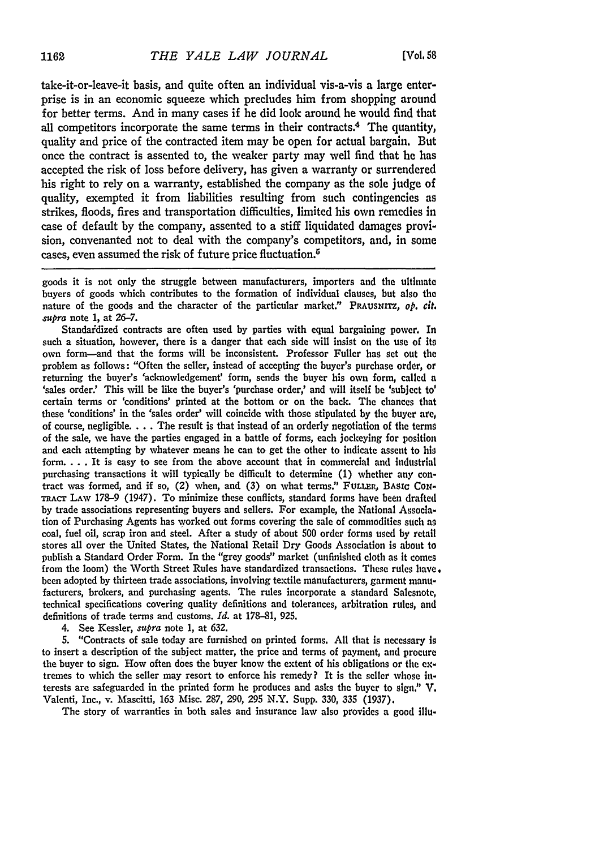take-it-or-leave-it basis, and quite often an individual vis-a-vis a large enterprise is in an economic squeeze which precludes him from shopping around for better terms. And in many cases if he did look around he would find that all competitors incorporate the same terms in their contracts.4 The quantity, quality and price of the contracted item may be open for actual bargain. But once the contract is assented to, the weaker party may well find that he has accepted the risk of loss before delivery, has given a warranty or surrendered his right to rely on a warranty, established the company as the sole judge of quality, exempted it from liabilities resulting from such contingencies as strikes, floods, fires and transportation difficulties, limited his own remedies in case of default by the company, assented to a stiff liquidated damages provision, convenanted not to deal with the company's competitors, and, in some cases, even assumed the risk of future price fluctuation.5

goods it is not only the struggle between manufacturers, importers and the ultimate buyers of goods which contributes to the formation of individual clauses, but also **the** nature of the goods and the character of the particular market." PRAUSNITZ, *op. cit. supra* note **1,** at **26-7.**

Standardized contracts are often used by parties with equal bargaining power. In such a situation, however, there is a danger that each side will insist on the use of its own form-and that the forms will be inconsistent. Professor Fuller has set out the problem as follows: "Often the seller, instead of accepting the buyer's purchase order, or returning the buyer's 'acknowledgement' form, sends the buyer his own form, called a 'sales order.' This will be like the buyer's 'purchase order,' and will itself **be** 'subject to' certain terms or 'conditions' printed at the bottom or on the back. The chances that these 'conditions' in the 'sales order' will coincide with those stipulated **by** the buyer **are,** of course, negligible **....** The result is that instead of an orderly negotiation of the terms of the sale, **we** have the parties engaged in a battle of forms, each jockeying for position and each attempting **by** whatever means he can **to** get the other to indicate assent to his form **....** It is easy to see from the above account that in commercial and industrial purchasing transactions it will typically be difficult to determine (1) whether any contract was formed, and if so, (2) when, and (3) on what terms." FULLER, BASIC CON-**TRACT** LAW **178-9** (1947). To minimize these conflicts, standard forms have been drafted **by** trade associations representing buyers and sellers. For example, the National Association of Purchasing Agents has worked out forms covering the sale of commodities such **as** coal, fuel oil, scrap iron and steel. After a study of about **500** order forms used **by** retail stores all over the United States, the National Retail Dry Goods Association is about to publish a Standard Order Form. In the "grey goods" market (unfinished cloth as it comes from the loom) the Worth Street Rules have standardized transactions. These rules have. been adopted **by** thirteen trade associations, involving textile manufacturers, garment manufacturers, brokers, and purchasing agents. The rules incorporate a standard Salesnote, technical specifications covering quality definitions and tolerances, arbitration rules, and definitions of trade terms and customs. *Id.* at **178-81, 925.**

4. See Kessler, *supra* note 1, at **632.**

**5.** "Contracts of sale today are furnished on printed forms. **All** that is necessary is to insert a description of the subject matter, the price and terms of payment, and procure the buyer to sign. How often does the buyer know the extent of his obligations or the **ex**tremes to which the seller may resort to enforce his remedy? It is the seller whose interests are safeguarded in the printed form he produces and asks the buyer to sign." V. Valenti, Inc., v. Mascitti, 163 Misc. **287, 290, 295** N.Y. Supp. **330, 335 (1937).**

The story of warranties in both sales and insurance law also provides a good illu-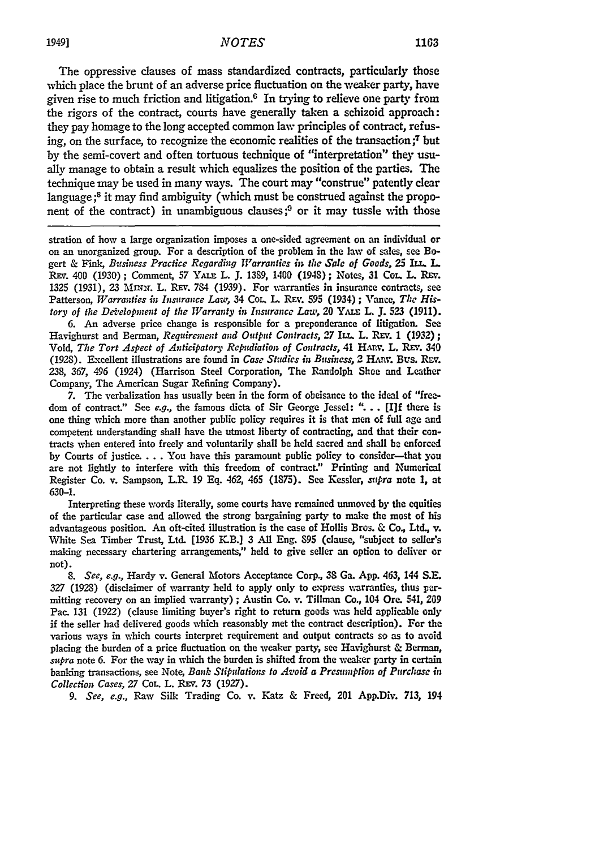The oppressive clauses of mass standardized contracts, particularly those which place the brunt of an adverse price fluctuation on the weaker party, have given rise to much friction and litigation. $6$  In trying to relieve one party from the rigors of the contract, courts have generally taken a schizoid approach: they pay homage to the long accepted common law principles of contract, refusing, on the surface, to recognize the economic realities of the transaction ;7 but by the semi-covert and often tortuous technique of "interpretation" they usually manage to obtain a result which equalizes the position of the parties. The technique may be used in many ways. The court may "construe" patently clear language **;s** it may find ambiguity (which must be construed against the proponent of the contract) in unambiguous clauses;<sup>9</sup> or it may tussle with those

stration of how a large organization imposes a one-sided agreement on an individual or on an unorganized group. For a description of the problem in the law of sales, see Bogert & Fink, Business Practice Regarding Warranties in the Sale of Goods, 25 ILL, L. REV. 400 (1930); Comment, 57 YALE L. J. 1389, 1400 (1948); Notes, 31 Col. L. REV. **1325** (1931), 23 IIrn. L. REv. 784 **(1939).** For warranties in insurance contracts, see Patterson, *Warranties in Insurance Law,* 34 Cot. L. REv. 595 (1934); Vance, The His*tory of the Development of the Warranty in Insurance Law, 20 YALE L. J. 523 (1911).* 

**6.** An adverse price change is responsible for a preponderance of litigation. **See** Havighurst and Berman, *Requirement and Output Contracts*, 27 ILL. L. REV. 1 (1932); Vold, *The Tort Aspect of Anticipatory Repudiation of Contracts,* 41 HAnv. L. REV. 340 (1928). Excellent illustrations are found in *Case Studies in Business*, 2 HARV. Bus. Rev. **238, 367,** 496 (1924) (Harrison Steel Corporation, The Randolph Shoe and Leather Company, The American Sugar Refining Company).

**7.** The verbalization has usually been in the form of obeisance to the ideal of "freedom of contract." See *e.g.*, the famous dicta of Sir George Jessel: "... [I]f there is one thing which more than another public policy requires it is that men of full **age** and competent understanding shall have the utmost liberty of contracting, and that their contracts when entered into freely and voluntarily shall be held sacred and shall **be** enforced by Courts of justice. **. . .**You have this paramount public policy to consider-that you are not lightly to interfere with this freedom of contract." Printing and Numerical Register Co. v. Sampson, L.R. **19 Eq.** 462, 465 **(1875).** See Kessler, *supra* note **1,** at **630-1.**

Interpreting these words literally, some courts have remained unmoved **by** the equities of the particular case and allowed the strong bargaining party to make the most of his advantageous position. An oft-cited illustration is the case of Hollis Bros. & Co, Ltd., **v.** White Sea Timber Trust, Ltd. **[1936** K.B.] 3 All Eng. **895** (clause, "subject to seller's maling necessary chartering arrangements," held to give seller an option to deliver or not).

*8. See, e.g.,* Hardy v. General Motors Acceptance Corp., **33** Ga. App. 463, 144 **S.E.** 327 (1928) (disclaimer of warranty held to apply only to express warranties, thus permitting recovery on an implied warranty) ; Austin Co. v. Tillman Co., 104 Ore. 541, **209** Pac. 131 (1922) (clause limiting buyer's right to return goods was held applicable only if the seller had delivered goods which reasonably met the contract description). For the various ways in which courts interpret requirement and output contracts so as to avoid placing the burden of a price fluctuation on the weaker party, see Havighurst & Berman, supra note 6. For the way in which the burden is shifted from the weaker party in certain banking transactions, see Note, *Bank Stipulations to Avoid a Presumption of Purchase in Collection Cases,* **27** CoL. L. REV. **73 (1927).**

*9. See, e.g.,* Raw Silk Trading Co. v. Katz & Freed, 201 App.Div. 713, 194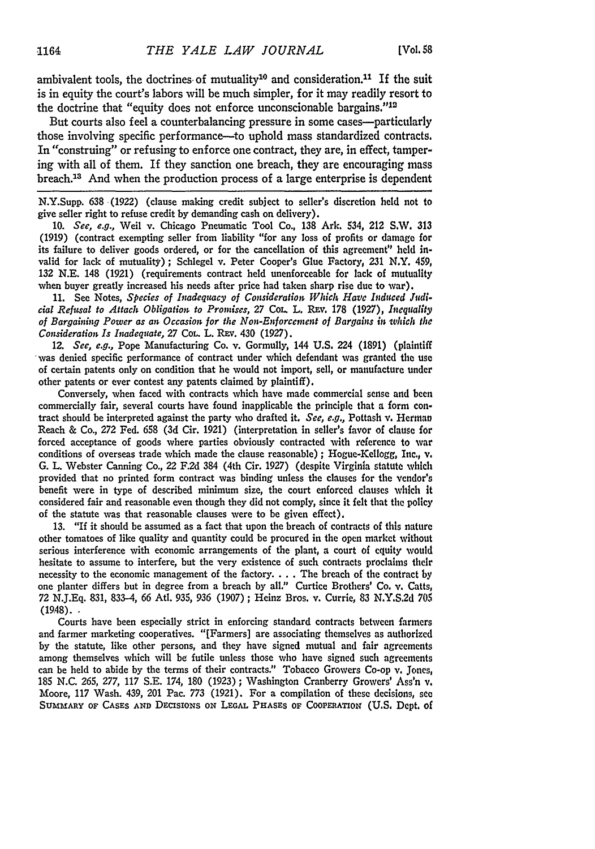ambivalent tools, the doctrines of mutuality<sup>10</sup> and consideration.<sup>11</sup> If the suit is in equity the court's labors will be much simpler, for it may readily resort to the doctrine that "equity does not enforce unconscionable bargains."<sup>12</sup>

But courts also feel a counterbalancing pressure in some cases—particularly those involving specific performance-to uphold mass standardized contracts. In "construing" or refusing to enforce one contract, they are, in effect, tampering with all of them. If they sanction one breach, they are encouraging mass breach.13 And when the production process of a large enterprise is dependent

N.Y.Supp. **638** (1922) (clause making credit subject to seller's discretion held not to give seller right to refuse credit **by** demanding cash on delivery).

10. *See, e.g.,* Weil v. Chicago Pneumatic Tool Co., 138 Ark. 534, 212 S.W. 313 (1919) (contract exempting seller from liability "for any loss of profits or damage for its failure to deliver goods ordered, or for the cancellation of this agreement" **held** invalid for lack of mutuality); Schlegel v. Peter Cooper's Glue Factory, **231** N.Y. 459, 132 N.E. 148 (1921) (requirements contract held unenforceable for lack of mutuality when buyer greatly increased his needs after price had taken sharp rise due to war).

**11.** See Notes, *Species of Inadequacy of Consideration Which Havc Induced* Judi*cial Refuwsal to Attach Obligation to Promises,* 27 Co. L. Rav. **178 (1927),** In *equality of Bargaining Power as* an *Occasion for the Non-Enforcement* of *Bargains* in *which the Consideration Is Inadequate,* 27 COL. L. REv. 430 (1927).

12. *See, e.g.,* Pope Manufacturing Co. v. Gormully, 144 **U.S.** 224 (1891) (plaintiff 'was denied specific performance of contract under which defendant was granted the use of certain patents only on condition that he would not import, sell, or manufacture under other patents or ever contest any patents claimed by plaintiff).

Conversely, when faced with contracts which have made commercial sense and been commercially fair, several courts have found inapplicable the principle that a form contract should be interpreted against the party who drafted it, *See, e.g.,* Pottash v. Herman Reach & Co., 272 Fed. **658** (3d Cir. 1921) (interpretation in seller's favor of clause for forced acceptance of goods where parties obviously contracted with reference to war conditions of overseas trade which made the clause reasonable) ; Hogue-Kellogg, Inc., v. G. L. Webster Canning Co., 22 F.2d 384 (4th Cir. 1927) (despite Virginia statute which provided that no printed form contract was binding unless the clauses for the vendor's benefit were in type of described minimum size, the court enforced clauses which It considered fair and reasonable even though they did not comply, since it felt that the policy of the statute was that reasonable clauses were to be given effect),

**13.** "If it should be assumed as a fact that upon the breach of contracts of this nature other tomatoes of like quality and quantity could be procured in the open market without serious interference with economic arrangements of the plant, a court of equity would hesitate to assume to interfere, but the very existence of such contracts proclaims their necessity to the economic management of the factory **....** The breach of the contract by one planter differs but in degree from a breach **by** all." Curtice Brothers' Co. v. Catts, 72 **N.J.Eq.** 831, 833-4, **66** AtI. 935, **936** (1907) ; Heinz Bros. v. Currie, **83** N.Y.S.2d **705**  $(19.48).$ 

Courts have been especially strict in enforcing standard contracts between farmers and farmer marketing cooperatives. "[Farmers] are associating themselves as authorized by the statute, like other persons, and they have signed mutual and fair agreements among themselves which will be futile unless those who have signed such agreements can be held to abide **by** the terms of their contracts." Tobacco Growers Co-op v. Jones, 185 N.C. **265, 277,** 117 S.E. 174, 180 (1923); Washington Cranberry Growers' Ass'n v. Moore, 117 Wash. 439, 201 Pac. 773 (1921). For a compilation of these decisions, see **SUMMARY OF CASES AND DEcIsIONs ON LEGAL PHASES OF COOPERATION (U.S.** Dept. of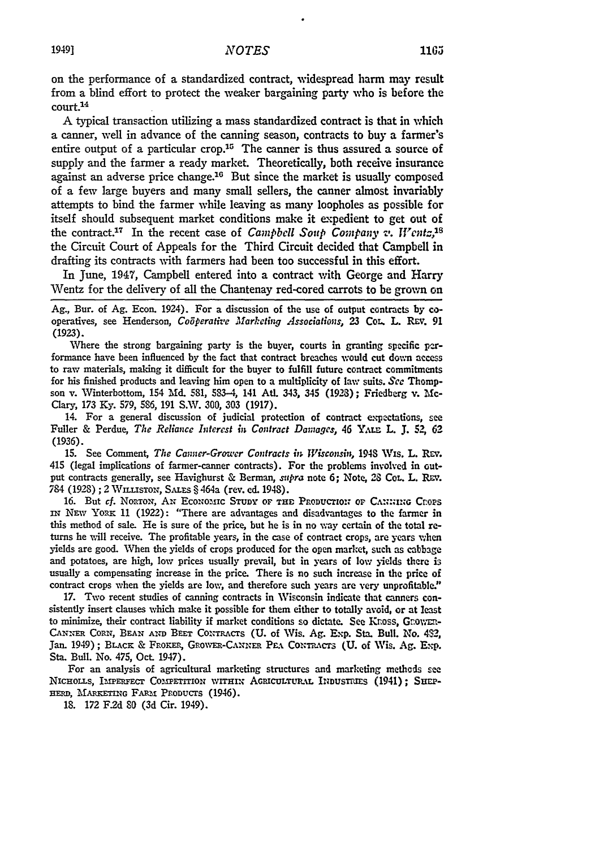on the performance of a standardized contract, widespread harm may result from a blind effort to protect the weaker bargaining party who is before the court.14

**A** typical transaction utilizing a mass standardized contract is that in which a canner, well in advance of the canning season, contracts to buy a farmer's entire output of a particular crop.<sup>15</sup> The canner is thus assured a source of supply and the farmer a ready market. Theoretically, both receive insurance against an adverse price change.<sup>16</sup> But since the market is usually composed of a few large buyers and many small sellers, the canner almost invariably attempts to bind the farmer while leaving as many loopholes as possible for itself should subsequent market conditions make it expedient to get out of the contract.<sup>17</sup> In the recent case of *Campbell Soup Company*  $v$ *. Wentz*,<sup>18</sup> the Circuit Court of Appeals for the Third Circuit decided that Campbell in drafting its contracts with farmers had been too successful in this effort.

In June, 1947, Campbell entered into a contract with George and Harry Wentz for the delivery of all the Chantenay red-cored carrots to be grown on

Ag., Bur. of Ag. Econ. 1924). For a discussion of the use of output contracts by cooperatives, see Henderson, *Cogperative Marketing Associations,* 23 Co.. L. **REv.** 91 **(1923).**

Where the strong bargaining party is the buyer, courts in granting specific performance have been influenced by the fact that contract breaches would cut dovwn access to raw materials, making it difficult for the buyer to fulfill future contract commitments for his finished products and leaving him open to a multiplicity of laxw suits. **See** Thompson v. Winterbottom, 154 Md. 581, 583-4, 141 AtL. 343, 345 (1923); Friedberg v. **Me-**Clary, 173 Ky. 579, 5S6, 191 S.W. 300, 303 (1917).

14. For a general discussion of judicial protection of contract expectations, see Fuller & Perdue, The Reliance Interest in Contract Damages, 46 YALE L. J. 52, 62 (1936).

15. See Comment, *The Canner-Grower Contracts in Wisconsin*, 1948 Wis. L. Rev. 415 (legal implications of farmer-canner contracts). For the problems involved in output contracts generally, see Havighurst & Berman, *supra* note 6; Note, 28 CoL. L. REV. 784 (1928) ; 2 W.isrox, Suras § 464a (rev. **ed.** 1948).

16. But *cf.* Norton, AN ECONOMIC STUDY OF THE PRODUCTION OF CANNING CROPS IN NEW YORK 11 (1922): "There are advantages and disadvantages to the farmer in this method of sale. He is sure of the price, but he is in no way certain of the total *re*turns he will receive. The profitable years, in the case of contract crops, are years when yields are good. When the yields of crops produced for the open market, such as cabbage and potatoes, are high, low prices usually prevail, but in years of low yields there is usually a compensating increase in the price. There is no such increase in the price of contract crops when the yields are low, and therefore such years are very unprofitable."

**17.** Two recent studies of canning contracts in Wisconsin indicate that canners consistently insert clauses which make it possible for them either to totally avoid, or at least to minimize, their contract liability if market conditions so dictate. See Knoss, Grownn-CANNER CORN, BEAN AND BEET CONTRACTS (U. of Wis. Ag. Exp. Sta. Bull. No. 432, Jan. 1949); BLACK & FROKER, GROWER-CANNER PEA CONTRACTS (U. of Wis. Ag. Exp. Sta. Bull. No. 475, Oct. 1947).

For an analysis of agricultural marketing structures and marketing methods see NICHOLLS, IMPERFECT COMPETITION WITHIN AGRICULTURAL INDUSTRIES (1941); SHEP-HERD, MARKETING FARM PRODUCTS (1946).

**18. 172** F2d **80** (3d Cir. 1949).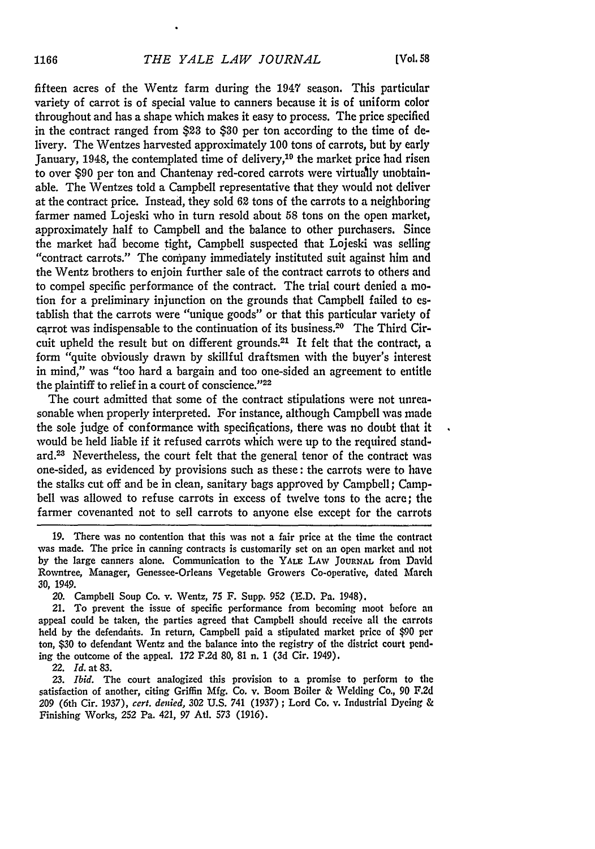fifteen acres of the Wentz farm during the 1947 season. This particular variety of carrot is of special value to canners because it is of uniform color throughout and has a shape which makes it easy to process. The price specified in the contract ranged from **\$23** to **\$30** per ton according to the time of delivery. The Wentzes harvested approximately **100** tons of carrots, but by early January, 1948, the contemplated time of delivery,<sup>19</sup> the market price had risen to over **\$90** per ton and Chantenay red-cored carrots were virtually unobtainable. The Wentzes told a Campbell representative that they would not deliver at the contract price. Instead, they sold **62** tons of the carrots to a neighboring farmer named Lojeski who in turn resold about **58** tons on the open market, approximately half to Campbell and the balance to other purchasers. Since the market had become tight, Campbell suspected that Lojeski was selling "contract carrots." The company immediately instituted suit against him and the Wentz brothers to enjoin further sale of the contract carrots to others and to compel specific performance of the contract. The trial court denied a motion for a preliminary injunction on the grounds that Campbell failed to establish that the carrots were "unique goods" or that this particular variety of carrot was indispensable to the continuation of its business.20 The Third Circuit upheld the result but on different grounds.2' It felt that the contract, a form "quite obviously drawn by skillful draftsmen with the buyer's interest in mind," was "too hard a bargain and too one-sided an agreement to entitle the plaintiff to relief in a court of conscience."<sup>22</sup>

The court admitted that some of the contract stipulations were not unreasonable when properly interpreted. For instance, although Campbell was made the sole judge of conformance with specifications, there was no doubt that it would be held liable if it refused carrots which were up to the required standard. 3 Nevertheless, the court felt that the general tenor of the contract was one-sided, as evidenced by provisions such as these: the carrots were to have the stalks cut off and be in clean, sanitary bags approved by Campbell; Campbell was allowed to refuse carrots in excess of twelve tons to the acre; the farmer covenanted not to sell carrots to anyone else except for the carrots

**19.** There was no contention that this was not a fair price at the time the contract was made. The price in canning contracts is customarily set on an open market and not by the large canners alone. Communication to the YALE LAW **JOURNAL** from David Rowntree, Manager, Genessee-Orleans Vegetable Growers Co-operative, dated March **30,** 1949.

20. Campbell Soup Co. v. Wentz, **75** F. Supp. 952 (E.D. Pa. 1948).

21. To prevent the issue of specific performance from becoming moot before an appeal could be taken, the parties agreed that Campbell should receive all the carrots held by the defendants. In return, Campbell paid a stipulated market price of \$90 per ton, **\$30** to defendant Wentz and the balance into the registry of the district court pending the outcome of the appeal. **172** F.2d **80, 81** n. **1** (3d Cir. 1949).

22. *Id.* at **83.**

*23. Ibid.* The court analogized this provision to a promise to perform to **the** satisfaction of another, citing Griffin Mfg. Co. v. Boom Boiler & Welding Co., 90 F.2d 209 (6th Cir. 1937), *cert. denied,* 302 U.S. 741 (1937) ; Lord Co. v. Industrial Dyeing & Finishing Works, 252 Pa. 421, 97 Atl. 573 (1916).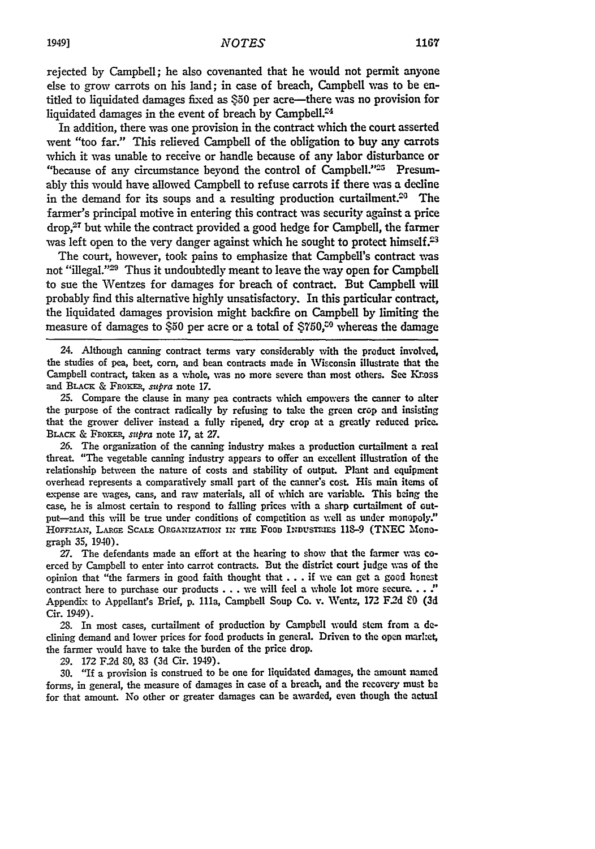rejected by Campbell; he also covenanted that he would not permit anyone else to grow carrots on his land; in case of breach, Campbell was to be entitled to liquidated damages **fixed** as **\$50** per acre-there was no provision for liquidated damages in the event of breach by Campbell.<sup>24</sup>

In addition, there was one provision in the contract which the court asserted went "too far." This relieved Campbell of the obligation to buy any carrots which it was unable to receive or handle because of any labor disturbance or "because of any circumstance beyond the control of Campbell."<sup>25</sup> Presumably this would have allowed Campbell to refuse carrots if there was a decline in the demand for its soups and a resulting production curtailment.<sup>20</sup> The farmer's principal motive in entering this contract was security against a price  $drop<sub>1</sub><sup>27</sup>$  but while the contract provided a good hedge for Campbell, the farmer was left open to the very danger against which he sought to protect himself. $23$ 

The court, however, took pains to emphasize that Campbell's contract was not "illegal."<sup>29</sup> Thus it undoubtedly meant to leave the way open for Campbell to sue the Wentzes for damages for breach of contract. But Campbell will probably find this alternative **highly** unsatisfactory. In this particular contract, the liquidated damages provision might backfire on Campbell **by** limiting the measure of damages to **\$50** per acre or a total of **\$750,"** whereas the damage

24. Although canning contract terms vary considerably with the product involved, the studies of pea, beet, corn, and bean contracts made in Wisconsin illustrate that the Campbell contract, taken as a whole, was no more severe than most others. See Kross and **BLACK & FROKER**, *supra* note 17.

**25.** Compare the clause in many pea contracts which empowers the canner to alter the purpose of the contract radically by refusing to take the green crop and insisting that the grower deliver instead a fully ripened, dry crop at a greatly reduced price. **BI.Acx** & **FRozKE,** *supra* note **17,** at *27.*

26. The organization of the canning industry makes a production curtailment a real threat. "The vegetable canning industry appears to offer an excellent illustration of the relationship between the nature of costs and stability of output. Plant and equipment overhead represents a comparatively small part of the canner's cost. His main items of expense are wages, cans, and raw materials, all of which are variable. This being the case, he is almost certain to respond to falling prices with a sharp curtailment of output—and this will be true under conditions of competition as well as under monopoly." **HoFFrAN,** LARGE ScALE ORGANIZATION IN **THE** FOOD *INDUsTmIEs* 118-9 **(TNEC** Monograph **35,** 1940).

**27.** The defendants made an effort at the hearing to show that the farmer was coerced by Campbell to enter into carrot contracts. But the district court judge was of the opinion that "the farmers in good faith thought that... if **we** can get a good honest contract here to purchase our products **...** we will feel a whole lot more secure. **..** , Appendix to Appellant's Brief, p. 111a, Campbell Soup Co. v. Wentz, 172 F.2d  $\&$ 0 (3d Cir. 1949).

28. In most cases, curtailment of production by Campbell would stem from a declining demand and lower prices for food products in general. Driven to the open market, the farmer would have to take the burden of the price drop.

29. 172 F2d 80, **83 (3d** Cir. 1949).

**30. "If** a provision is construed to be one for liquidated damages, the amount named forms, in general, the measure of damages in case of a breach, and the recovery must **be** for that amount. No other or greater damages can be awarded, even though the actual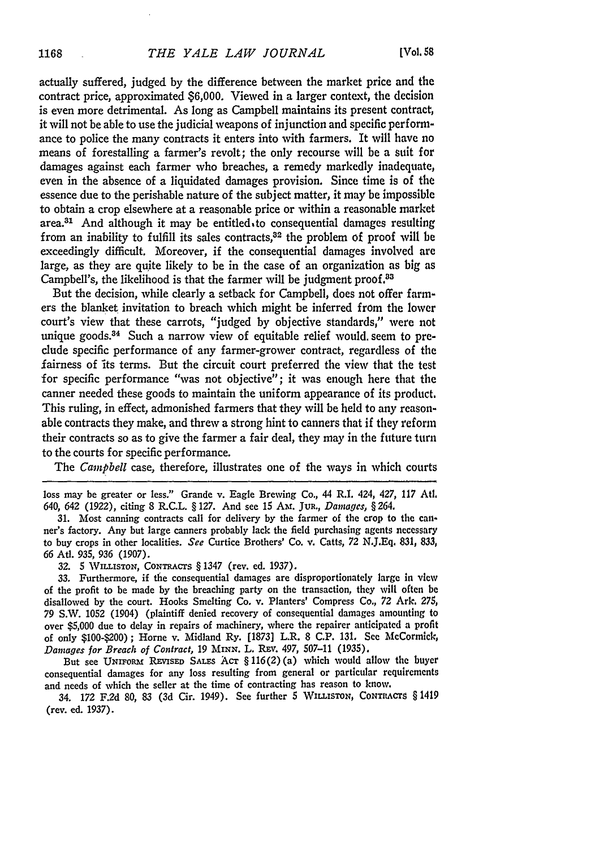actually suffered, judged **by** the difference between the market price and the contract price, approximated **\$6,000.** Viewed in a larger context, the decision is even more detrimental. As long as Campbell maintains its present contract, it will not be able to use the judicial weapons of injunction and specific performance to police the many contracts it enters into with farmers. It will have no means of forestalling a farmer's revolt; the only recourse will be a suit for damages against each farmer who breaches, a remedy markedly inadequate, even in the absence of a liquidated damages provision. Since time is of the essence due to the perishable nature of the subject matter, it may be impossible to obtain a crop elsewhere at a reasonable price or within a reasonable market area. $31$  And although it may be entitled to consequential damages resulting from an inability to fulfill its sales contracts, $32$  the problem of proof will be exceedingly difficult. Moreover, if the consequential damages involved are large, as they are quite likely to be in the case of an organization as big as Campbell's, the likelihood is that the farmer will be judgment proof.<sup>83</sup>

But the decision, while clearly a setback for Campbell, does not offer farmers the blanket invitation to breach which might be inferred from the lower court's view that these carrots, "judged **by** objective standards," were not unique goods.<sup>34</sup> Such a narrow view of equitable relief would, seem to predude specific performance of any farmer-grower contract, regardless of the fairness of its terms. But the circuit court preferred the view that the test for specific performance "was not objective"; it was enough here that the canner needed these goods to maintain the uniform appearance of its product. This ruling, in effect, admonished farmers that they will be held to any reasonable contracts they make, and threw a strong hint to canners that if they reform their contracts so as to give the farmer a fair deal, they may in the future turn to the courts for specific performance.

The *Campbell* case, therefore, illustrates one of the ways in which courts

loss may be greater or less." Grande v. Eagle Brewing Co., 44 R.I. 424, 427, 117 **Atl.** 640, 642 (1922), citing **8** R.C.L. § 127. And see **15** Am. JuR., *Damages, §* 264.

31. Most canning contracts call for delivery by the farmer of the crop to the canner's factory. Any but large canners probably lack the field purchasing agents necessary to buy crops in other localities. *See* Curtice Brothers' Co. v. Catts, 72 N.J.Eq. 831, **833,** *66* Ad. 935, **936** (1907).

32. 5 WILLISTON, CONTRACTS § 1347 (rev. ed. 1937).

**33.** Furthermore, if the consequential damages are disproportionately large in view of the profit to be made **by** the breaching party on the transaction, they will often be disallowed by the court. Hooks Smelting Co. v. Planters' Compress Co., 72 Ark. 275, 79 S.W. 1052 (1904) (plaintiff denied recovery of consequential damages amounting to over \$5,000 due to delay in repairs of machinery, where the repairer anticipated a profit of only \$100-\$200); Home v. Midland Ry. [1873] L.R. 8 **C.P. 131.** See McCormick, *Damages for Breach of Coniract,* 19 **MINN.** L. REy. 497, 507-11 (1935).

But see UNIFORM REVISED SALES ACT § 116(2) (a) which would allow the buyer consequential damages for any loss resulting from general or particular requirements and needs of which the seller at the time of contracting has reason to know.

34. *172* F.2d **80, 83 (3d** Cir. 1949). See further 5 **WILLISTON, CONTRIACrS** § 1419 (rev. ed. 1937).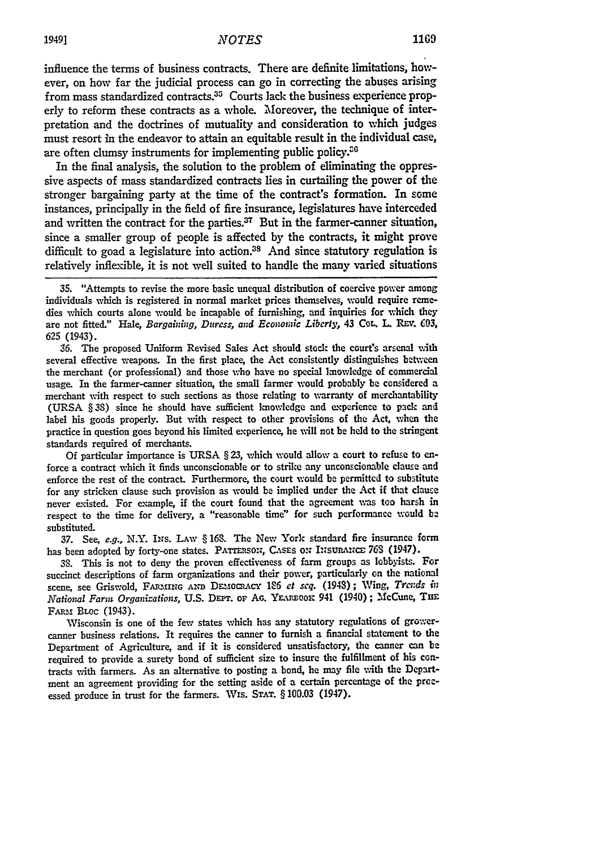influence the terms of business contracts. There are definite limitations, however, on how far the judicial process can go in correcting the abuses arising from mass standardized contracts.<sup>35</sup> Courts lack the business experience properly to reform these contracts as a whole. Moreover, the technique of interpretation and the doctrines of mutuality and consideration to which judges must resort in the endeavor to attain an equitable result in the individual case, are often clumsy instruments for implementing public policy.<sup>36</sup>

In the final analysis, the solution to the problem of eliminating the oppressive aspects of mass standardized contracts lies in curtailing the power of the stronger bargaining party at the time of the contract's formation. In some instances, principally in the field of fire insurance, legislatures have interceded and written the contract for the parties. $37$  But in the farmer-canner situation, since a smaller group of people is affected by the contracts, it might prove difficult to goad a legislature into action.<sup>38</sup> And since statutory regulation is relatively inflexible, it is not well suited to handle the many varied situations

**35.** "Attempts to revise the more basic unequal distribution of coercive power among individuals which is registered in normal market prices themselves, would require **reme**dies which courts alone would be incapable of furnishing, and inquiries for which they are not fitted." Hale, Bargaining, Duress, and Economic *Liberty,* 43 **COL.** L. *REy.* **C03,** 625 (1943).

**S6.** The proposed Uniform Revised Sales Act should stock the court's arsenal vith several effective weapons. In the first place, the Act consistently distinguishes between the merchant (or professional) and those who have no special kmowledge of commercial usage. In the farmer-canner situation, the small farmer would probably be considered a merchant with respect to such sections as those relating to Warranty of merchantability (URSA § **38)** since he should have sufficient knowledge and experience to pack and label his goods properly. But with respect to other provisions of the Act, when the practice in question goes beyond his limited experience, he will not be held to the stringent standards required of merchants.

Of particular importance is URSA § **23,** which would allow a court to refuse to enforce a contract which it finds unconscionable or to strike any unconscionable clause and enforce the rest of the contract. Furthermore, the court would be permitted to substitute for any stricken clause such provision as would be implied under the Act if that clause never existed. For example, if the court found that the agreement was too harsh in respect to the time for delivery, a "reasonable time" for such performance would **b.** substituted.

*37.* See, *e.g.,* N.Y. INs. LAW § 168. The New York standard fire insurance form has been adopted by forty-one states. PATTERSON, CASES ON INSURANCE 763 (1947).

**38.** This is not to deny the proven effectiveness of farm groups as lobbyists. For succinct descriptions of farm organizations and their power, particularly on the national scene, see Griswold, FARMING AND DEMOCRACY 126 et seq. (1948); Wing, Trends in National *Farm* Organizations, **U.S. DEPr. oF AG.** Yr-nooic 941 (1940) **;** McCune, Tim FARM BLoc (1943).

Wisconsin is one of the few states which has any statutory regulations of growercanner business relations. It requires the canner to furnish a financial statement to the Department of Agriculture, and if it is considered unsatisfactory, the canner can be required to provide a surety bond of sufficient size to insure the fulfillment of his contracts with farmers. As an alternative to posting a bond, he may file with the Department an agreement providing for the setting aside of a certain percentage of the processed produce in trust for the farmers. Wis. **STAT.** § **100.03** (1947).